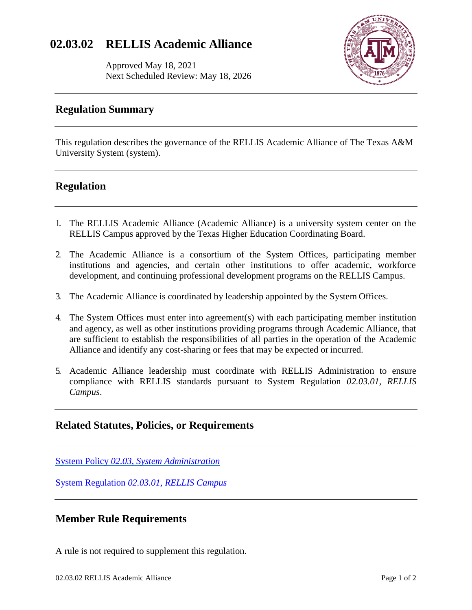# **02.03.02 RELLIS Academic Alliance**

Approved May 18, 2021 Next Scheduled Review: May 18, 2026



## **Regulation Summary**

This regulation describes the governance of the RELLIS Academic Alliance of The Texas A&M University System (system).

#### **Regulation**

- 1. The RELLIS Academic Alliance (Academic Alliance) is a university system center on the RELLIS Campus approved by the Texas Higher Education Coordinating Board.
- 2. The Academic Alliance is a consortium of the System Offices, participating member institutions and agencies, and certain other institutions to offer academic, workforce development, and continuing professional development programs on the RELLIS Campus.
- 3. The Academic Alliance is coordinated by leadership appointed by the System Offices.
- 4. The System Offices must enter into agreement(s) with each participating member institution and agency, as well as other institutions providing programs through Academic Alliance, that are sufficient to establish the responsibilities of all parties in the operation of the Academic Alliance and identify any cost-sharing or fees that may be expected or incurred.
- 5. Academic Alliance leadership must coordinate with RELLIS Administration to ensure compliance with RELLIS standards pursuant to System Regulation *02.03.01, RELLIS Campus*.

#### **Related Statutes, Policies, or Requirements**

System Policy *[02.03, System Administration](https://policies.tamus.edu/02-03.pdf)*

System Regulation *[02.03.01, RELLIS Campus](http://policies.tamus.edu/02-03-01.pdf)*

## **Member Rule Requirements**

A rule is not required to supplement this regulation.